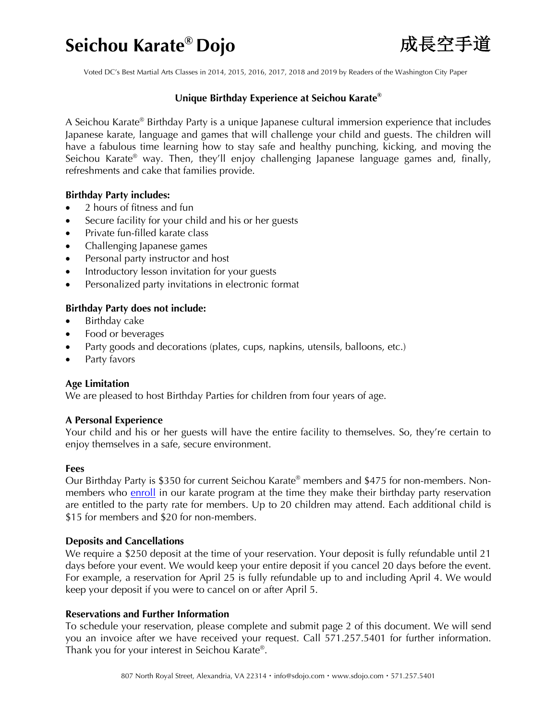## **Seichou Karate® Dojo**成長空手道



Voted DC's Best Martial Arts Classes in 2014, 2015, 2016, 2017, 2018 and 2019 by Readers of the Washington City Paper

## **Unique Birthday Experience at Seichou Karate®**

A Seichou Karate® Birthday Party is a unique Japanese cultural immersion experience that includes Japanese karate, language and games that will challenge your child and guests. The children will have a fabulous time learning how to stay safe and healthy punching, kicking, and moving the Seichou Karate<sup>®</sup> way. Then, they'll enjoy challenging Japanese language games and, finally, refreshments and cake that families provide.

#### **Birthday Party includes:**

- 2 hours of fitness and fun
- Secure facility for your child and his or her guests
- Private fun-filled karate class
- Challenging Japanese games
- Personal party instructor and host
- Introductory lesson invitation for your guests
- Personalized party invitations in electronic format

## **Birthday Party does not include:**

- Birthday cake
- Food or beverages
- Party goods and decorations (plates, cups, napkins, utensils, balloons, etc.)
- Party favors

## **Age Limitation**

We are pleased to host Birthday Parties for children from four years of age.

## **A Personal Experience**

Your child and his or her guests will have the entire facility to themselves. So, they're certain to enjoy themselves in a safe, secure environment.

#### **Fees**

Our Birthday Party is \$350 for current Seichou Karate® members and \$475 for non-members. Nonmembers who enroll in our karate program at the time they make their birthday party reservation are entitled to the party rate for members. Up to 20 children may attend. Each additional child is \$15 for members and \$20 for non-members.

#### **Deposits and Cancellations**

We require a \$250 deposit at the time of your reservation. Your deposit is fully refundable until 21 days before your event. We would keep your entire deposit if you cancel 20 days before the event. For example, a reservation for April 25 is fully refundable up to and including April 4. We would keep your deposit if you were to cancel on or after April 5.

## **Reservations and Further Information**

To schedule your reservation, please complete and submit page 2 of this document. We will send you an invoice after we have received your request. Call 571.257.5401 for further information. Thank you for your interest in Seichou Karate®.